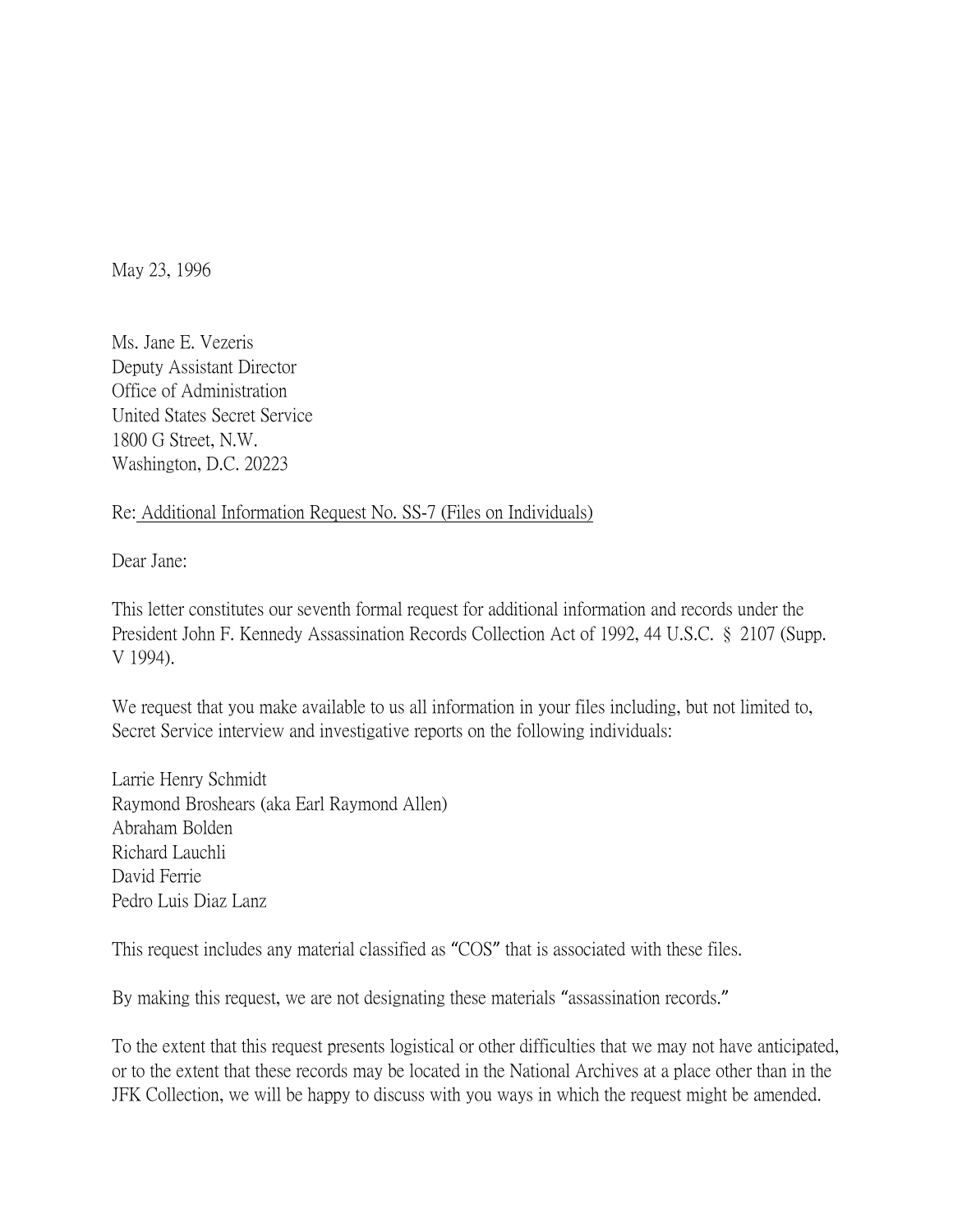May 23, 1996

Ms. Jane E. Vezeris Deputy Assistant Director Office of Administration United States Secret Service 1800 G Street, N.W. Washington, D.C. 20223

## Re: Additional Information Request No. SS-7 (Files on Individuals)

Dear Jane:

This letter constitutes our seventh formal request for additional information and records under the President John F. Kennedy Assassination Records Collection Act of 1992, 44 U.S.C. § 2107 (Supp. V 1994).

We request that you make available to us all information in your files including, but not limited to, Secret Service interview and investigative reports on the following individuals:

Larrie Henry Schmidt Raymond Broshears (aka Earl Raymond Allen) Abraham Bolden Richard Lauchli David Ferrie Pedro Luis Diaz Lanz

This request includes any material classified as "COS" that is associated with these files.

By making this request, we are not designating these materials "assassination records."

To the extent that this request presents logistical or other difficulties that we may not have anticipated, or to the extent that these records may be located in the National Archives at a place other than in the JFK Collection, we will be happy to discuss with you ways in which the request might be amended.